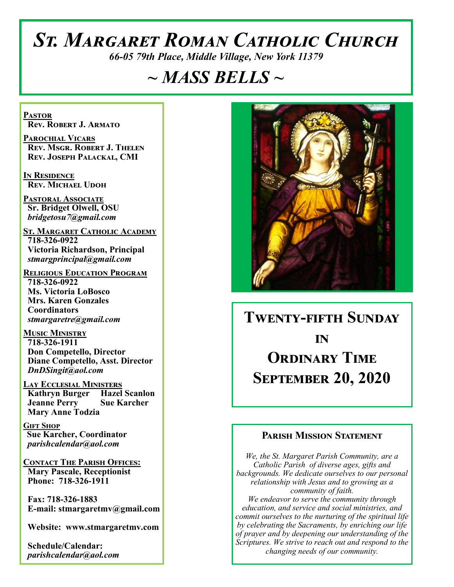# *St. Margaret Roman Catholic Church*

*66-05 79th Place, Middle Village, New York 11379*

## *~ MASS BELLS ~*

**Pastor Rev. Robert J. Armato**

**Parochial Vicars Rev. Msgr. Robert J. Thelen Rev. Joseph Palackal, CMI**

**In Residence Rev. Michael Udoh**

**Pastoral Associate Sr. Bridget Olwell, OSU**  *bridgetosu7@gmail.com*

**St. Margaret Catholic Academy 718-326-0922 Victoria Richardson, Principal**  *stmargprincipal@gmail.com*

**Religious Education Program 718-326-0922 Ms. Victoria LoBosco Mrs. Karen Gonzales Coordinators** *stmargaretre@gmail.com*

**Music Ministry 718-326-1911 Don Competello, Director Diane Competello, Asst. Director** *DnDSingit@aol.com*

**Lay Ecclesial Ministers Kathryn Burger Hazel Scanlon Jeanne Perry Sue Karcher Mary Anne Todzia**

**Gift Shop Sue Karcher, Coordinator** *parishcalendar@aol.com*

**Contact The Parish Offices: Mary Pascale, Receptionist Phone: 718-326-1911** 

 **Fax: 718-326-1883 E-mail: stmargaretmv@gmail.com**

 **Website: www.stmargaretmv.com**

 **Schedule/Calendar:** *parishcalendar@aol.com* 



**Twenty-fifth Sunday in Ordinary Time September 20, 2020** 

## **Parish Mission Statement**

*We, the St. Margaret Parish Community, are a Catholic Parish of diverse ages, gifts and backgrounds. We dedicate ourselves to our personal relationship with Jesus and to growing as a community of faith. We endeavor to serve the community through education, and service and social ministries, and commit ourselves to the nurturing of the spiritual life by celebrating the Sacraments, by enriching our life of prayer and by deepening our understanding of the Scriptures. We strive to reach out and respond to the changing needs of our community.*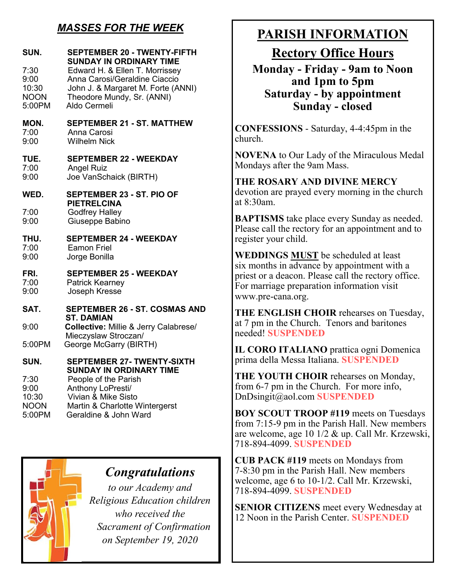## *MASSES FOR THE WEEK*

| SUN.<br>7:30<br>9:00<br>10:30<br><b>NOON</b> | <b>SEPTEMBER 20 - TWENTY-FIFTH</b><br><b>SUNDAY IN ORDINARY TIME</b><br>Edward H. & Ellen T. Morrissey<br>Anna Carosi/Geraldine Ciaccio<br>John J. & Margaret M. Forte (ANNI)<br>Theodore Mundy, Sr. (ANNI) |
|----------------------------------------------|-------------------------------------------------------------------------------------------------------------------------------------------------------------------------------------------------------------|
| 5:00PM                                       | Aldo Cermeli                                                                                                                                                                                                |
| MON.<br>7:00<br>9:00                         | <b>SEPTEMBER 21 - ST. MATTHEW</b><br>Anna Carosi<br><b>Wilhelm Nick</b>                                                                                                                                     |
| TUE.<br>7:00<br>9:00                         | <b>SEPTEMBER 22 - WEEKDAY</b><br><b>Angel Ruiz</b><br>Joe VanSchaick (BIRTH)                                                                                                                                |
| WED.                                         | SEPTEMBER 23 - ST. PIO OF                                                                                                                                                                                   |
| 7:00<br>9:00                                 | <b>PIETRELCINA</b><br><b>Godfrey Halley</b><br>Giuseppe Babino                                                                                                                                              |
| THU.<br>7:00<br>9:00                         | <b>SEPTEMBER 24 - WEEKDAY</b><br><b>Eamon Friel</b><br>Jorge Bonilla                                                                                                                                        |
| FRI.<br>7:00<br>9:00                         | <b>SEPTEMBER 25 - WEEKDAY</b><br>Patrick Kearney<br>Joseph Kresse                                                                                                                                           |
| SAT.                                         | <b>SEPTEMBER 26 - ST. COSMAS AND</b>                                                                                                                                                                        |
| 9:00                                         | <b>ST. DAMIAN</b><br>Collective: Millie & Jerry Calabrese/                                                                                                                                                  |
| 5:00PM                                       | Mieczyslaw Stroczan/<br>George McGarry (BIRTH)                                                                                                                                                              |
| SUN.                                         | <b>SEPTEMBER 27- TWENTY-SIXTH</b><br><b>SUNDAY IN ORDINARY TIME</b>                                                                                                                                         |
| 7:30<br>9:00                                 | People of the Parish<br>Anthony LoPresti/                                                                                                                                                                   |
| 10:30                                        | Vivian & Mike Sisto                                                                                                                                                                                         |
| <b>NOON</b>                                  | Martin & Charlotte Wintergerst                                                                                                                                                                              |
| 5:00PM                                       | Geraldine & John Ward                                                                                                                                                                                       |



## *Congratulations*

*to our Academy and Religious Education children who received the Sacrament of Confirmation on September 19, 2020*

## **PARISH INFORMATION**

**Rectory Office Hours** 

**Monday - Friday - 9am to Noon and 1pm to 5pm Saturday - by appointment Sunday - closed**

**CONFESSIONS** - Saturday, 4-4:45pm in the church.

**NOVENA** to Our Lady of the Miraculous Medal Mondays after the 9am Mass.

**THE ROSARY AND DIVINE MERCY** devotion are prayed every morning in the church at 8:30am.

**BAPTISMS** take place every Sunday as needed. Please call the rectory for an appointment and to register your child.

**WEDDINGS MUST** be scheduled at least six months in advance by appointment with a priest or a deacon. Please call the rectory office. For marriage preparation information visit www.pre-cana.org.

**THE ENGLISH CHOIR** rehearses on Tuesday, at 7 pm in the Church. Tenors and baritones needed! **SUSPENDED**

**IL CORO ITALIANO** prattica ogni Domenica prima della Messa Italiana. **SUSPENDED**

**THE YOUTH CHOIR** rehearses on Monday, from 6-7 pm in the Church. For more info, DnDsingit@aol.com **SUSPENDED**

**BOY SCOUT TROOP #119** meets on Tuesdays from 7:15-9 pm in the Parish Hall. New members are welcome, age 10 1/2 & up. Call Mr. Krzewski, 718-894-4099. **SUSPENDED**

**CUB PACK #119** meets on Mondays from 7-8:30 pm in the Parish Hall. New members welcome, age 6 to 10-1/2. Call Mr. Krzewski, 718-894-4099. **SUSPENDED**

**SENIOR CITIZENS** meet every Wednesday at 12 Noon in the Parish Center. **SUSPENDED**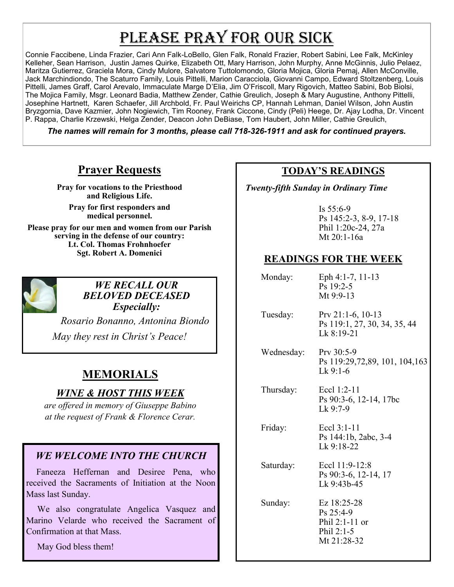## PLEASE PRAY FOR OUR SICK

Connie Faccibene, Linda Frazier, Cari Ann Falk-LoBello, Glen Falk, Ronald Frazier, Robert Sabini, Lee Falk, McKinley Kelleher, Sean Harrison, Justin James Quirke, Elizabeth Ott, Mary Harrison, John Murphy, Anne McGinnis, Julio Pelaez, Maritza Gutierrez, Graciela Mora, Cindy Mulore, Salvatore Tuttolomondo, Gloria Mojica, Gloria Pemaj, Allen McConville, Jack Marchindiondo, The Scaturro Family, Louis Pittelli, Marion Caracciola, Giovanni Campo, Edward Stoltzenberg, Louis Pittelli, James Graff, Carol Arevalo, Immaculate Marge D'Elia, Jim O'Friscoll, Mary Rigovich, Matteo Sabini, Bob Biolsi, The Mojica Family, Msgr. Leonard Badia, Matthew Zender, Cathie Greulich, Joseph & Mary Augustine, Anthony Pittelli, Josephine Hartnett, Karen Schaefer, Jill Archbold, Fr. Paul Weirichs CP, Hannah Lehman, Daniel Wilson, John Austin Bryzgornia, Dave Kazmier, John Nogiewich, Tim Rooney, Frank Ciccone, Cindy (Peli) Heege, Dr. Ajay Lodha, Dr. Vincent P. Rappa, Charlie Krzewski, Helga Zender, Deacon John DeBiase, Tom Haubert, John Miller, Cathie Greulich,

*The names will remain for 3 months, please call 718-326-1911 and ask for continued prayers.*

## **Prayer Requests**

**Pray for vocations to the Priesthood and Religious Life.** 

**Pray for first responders and medical personnel.**

**Please pray for our men and women from our Parish serving in the defense of our country: Lt. Col. Thomas Frohnhoefer Sgt. Robert A. Domenici** 



*WE RECALL OUR BELOVED DECEASED Especially:*

 *Rosario Bonanno, Antonina Biondo May they rest in Christ's Peace!*

## **MEMORIALS**

## *WINE & HOST THIS WEEK*

*are offered in memory of Giuseppe Babino at the request of Frank & Florence Cerar.*

## *WE WELCOME INTO THE CHURCH*

 Faneeza Heffernan and Desiree Pena, who received the Sacraments of Initiation at the Noon Mass last Sunday.

 We also congratulate Angelica Vasquez and Marino Velarde who received the Sacrament of Confirmation at that Mass.

May God bless them!

## **TODAY'S READINGS**

 *Twenty-fifth Sunday in Ordinary Time*

Is 55:6-9 Ps 145:2-3, 8-9, 17-18 Phil 1:20c-24, 27a Mt 20:1-16a

## **READINGS FOR THE WEEK**

| Monday: | Eph 4:1-7, 11-13 |
|---------|------------------|
|         | $Ps$ 19:2-5      |
|         | Mt $9:9-13$      |

 Tuesday: Prv 21:1-6, 10-13 Ps 119:1, 27, 30, 34, 35, 44 Lk 8:19-21

 Wednesday: Prv 30:5-9 Ps 119:29,72,89, 101, 104,163 Lk 9:1-6

 Thursday: Eccl 1:2-11 Ps 90:3-6, 12-14, 17bc Lk  $9:7-9$ 

 Friday: Eccl 3:1-11 Ps 144:1b, 2abc, 3-4  $Lk$  9:18-22

 Saturday: Eccl 11:9-12:8 Ps 90:3-6, 12-14, 17 Lk 9:43b-45

 Sunday: Ez 18:25-28 Ps 25:4-9 Phil 2:1-11 or Phil 2:1-5 Mt 21:28-32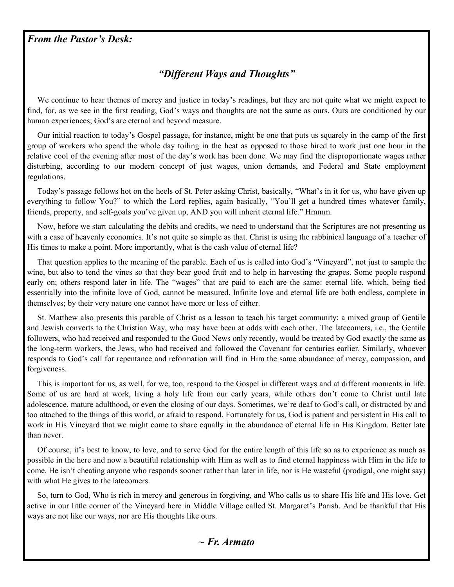### *From the Pastor's Desk:*

## *"Different Ways and Thoughts"*

 We continue to hear themes of mercy and justice in today's readings, but they are not quite what we might expect to find, for, as we see in the first reading, God's ways and thoughts are not the same as ours. Ours are conditioned by our human experiences; God's are eternal and beyond measure.

 Our initial reaction to today's Gospel passage, for instance, might be one that puts us squarely in the camp of the first group of workers who spend the whole day toiling in the heat as opposed to those hired to work just one hour in the relative cool of the evening after most of the day's work has been done. We may find the disproportionate wages rather disturbing, according to our modern concept of just wages, union demands, and Federal and State employment regulations.

 Today's passage follows hot on the heels of St. Peter asking Christ, basically, "What's in it for us, who have given up everything to follow You?" to which the Lord replies, again basically, "You'll get a hundred times whatever family, friends, property, and self-goals you've given up, AND you will inherit eternal life." Hmmm.

 Now, before we start calculating the debits and credits, we need to understand that the Scriptures are not presenting us with a case of heavenly economics. It's not quite so simple as that. Christ is using the rabbinical language of a teacher of His times to make a point. More importantly, what is the cash value of eternal life?

 That question applies to the meaning of the parable. Each of us is called into God's "Vineyard", not just to sample the wine, but also to tend the vines so that they bear good fruit and to help in harvesting the grapes. Some people respond early on; others respond later in life. The "wages" that are paid to each are the same: eternal life, which, being tied essentially into the infinite love of God, cannot be measured. Infinite love and eternal life are both endless, complete in themselves; by their very nature one cannot have more or less of either.

 St. Matthew also presents this parable of Christ as a lesson to teach his target community: a mixed group of Gentile and Jewish converts to the Christian Way, who may have been at odds with each other. The latecomers, i.e., the Gentile followers, who had received and responded to the Good News only recently, would be treated by God exactly the same as the long-term workers, the Jews, who had received and followed the Covenant for centuries earlier. Similarly, whoever responds to God's call for repentance and reformation will find in Him the same abundance of mercy, compassion, and forgiveness.

 This is important for us, as well, for we, too, respond to the Gospel in different ways and at different moments in life. Some of us are hard at work, living a holy life from our early years, while others don't come to Christ until late adolescence, mature adulthood, or even the closing of our days. Sometimes, we're deaf to God's call, or distracted by and too attached to the things of this world, or afraid to respond. Fortunately for us, God is patient and persistent in His call to work in His Vineyard that we might come to share equally in the abundance of eternal life in His Kingdom. Better late than never.

 Of course, it's best to know, to love, and to serve God for the entire length of this life so as to experience as much as possible in the here and now a beautiful relationship with Him as well as to find eternal happiness with Him in the life to come. He isn't cheating anyone who responds sooner rather than later in life, nor is He wasteful (prodigal, one might say) with what He gives to the latecomers.

 So, turn to God, Who is rich in mercy and generous in forgiving, and Who calls us to share His life and His love. Get active in our little corner of the Vineyard here in Middle Village called St. Margaret's Parish. And be thankful that His ways are not like our ways, nor are His thoughts like ours.

#### *~ Fr. Armato*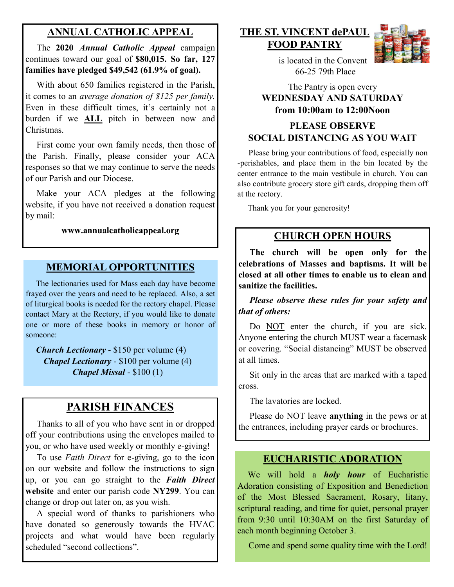## **ANNUAL CATHOLIC APPEAL**

 The **2020** *Annual Catholic Appeal* campaign continues toward our goal of **\$80,015. So far, 127 families have pledged \$49,542 (61.9% of goal).** 

With about 650 families registered in the Parish, it comes to an *average donation of \$125 per family.*  Even in these difficult times, it's certainly not a burden if we **ALL** pitch in between now and Christmas.

 First come your own family needs, then those of the Parish. Finally, please consider your ACA responses so that we may continue to serve the needs of our Parish and our Diocese.

Make your ACA pledges at the following website, if you have not received a donation request by mail:

#### **www.annualcatholicappeal.org**

## **MEMORIAL OPPORTUNITIES**

 The lectionaries used for Mass each day have become frayed over the years and need to be replaced. Also, a set of liturgical books is needed for the rectory chapel. Please contact Mary at the Rectory, if you would like to donate one or more of these books in memory or honor of someone:

 *Church Lectionary* - \$150 per volume (4) *Chapel Lectionary* - \$100 per volume (4) *Chapel Missal* - \$100 (1)

## **PARISH FINANCES**

 Thanks to all of you who have sent in or dropped off your contributions using the envelopes mailed to you, or who have used weekly or monthly e-giving!

 To use *Faith Direct* for e-giving, go to the icon on our website and follow the instructions to sign up, or you can go straight to the *Faith Direct*  **website** and enter our parish code **NY299**. You can change or drop out later on, as you wish.

 A special word of thanks to parishioners who have donated so generously towards the HVAC projects and what would have been regularly scheduled "second collections".

## **THE ST. VINCENT dePAUL FOOD PANTRY**



 is located in the Convent 66-25 79th Place

#### The Pantry is open every **WEDNESDAY AND SATURDAY from 10:00am to 12:00Noon**

## **PLEASE OBSERVE SOCIAL DISTANCING AS YOU WAIT**

 Please bring your contributions of food, especially non -perishables, and place them in the bin located by the center entrance to the main vestibule in church. You can also contribute grocery store gift cards, dropping them off at the rectory.

Thank you for your generosity!

#### **CHURCH OPEN HOURS**

 **The church will be open only for the celebrations of Masses and baptisms. It will be closed at all other times to enable us to clean and sanitize the facilities.** 

 *Please observe these rules for your safety and that of others:* 

Do NOT enter the church, if you are sick. Anyone entering the church MUST wear a facemask or covering. "Social distancing" MUST be observed at all times.

 Sit only in the areas that are marked with a taped cross.

The lavatories are locked.

 Please do NOT leave **anything** in the pews or at the entrances, including prayer cards or brochures.

#### **EUCHARISTIC ADORATION**

 We will hold a *holy hour* of Eucharistic Adoration consisting of Exposition and Benediction of the Most Blessed Sacrament, Rosary, litany, scriptural reading, and time for quiet, personal prayer from 9:30 until 10:30AM on the first Saturday of each month beginning October 3.

Come and spend some quality time with the Lord!